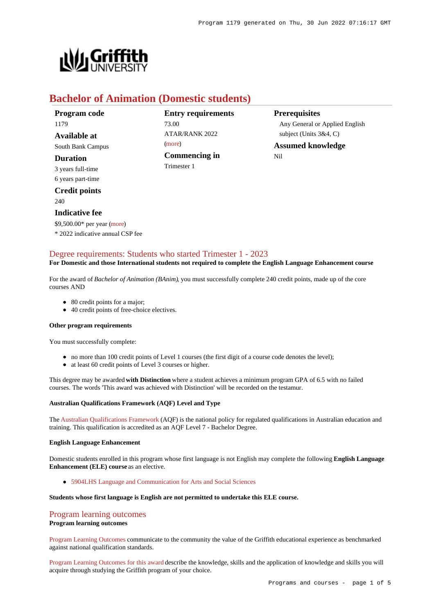

# **Bachelor of Animation (Domestic students)**

| Program code          |
|-----------------------|
| 1179                  |
| <b>Available at</b>   |
| South Bank Campus     |
| <b>Duration</b>       |
| 3 years full-time     |
| 6 years part-time     |
| <b>Credit points</b>  |
| 240                   |
| <b>Indicative fee</b> |
| $AD = DA A.$          |

**Entry requirements** 73.00 ATAR/RANK 2022 [\(more](https://www148.griffith.edu.au/programs-courses/Program/1179/HowToApply/Domestic#tac-entry-requirements)) **Commencing in** Trimester 1

**Prerequisites**

Any General or Applied English subject (Units 3&4, C)

**Assumed knowledge** Nil

# \$9,500.00\* per year [\(more](https://www148.griffith.edu.au/programs-courses/Program/1179/Overview/Domestic#fees))

\* 2022 indicative annual CSP fee

## [Degree requirements: Students who started Trimester 1 - 2023](https://www148.griffith.edu.au/programs-courses/Program/1179/Courses/Domestic#degree-requirements)

### **For Domestic and those International students not required to complete the English Language Enhancement course**

For the award of *Bachelor of Animation (BAnim)*, you must successfully complete 240 credit points, made up of the core courses AND

- 80 credit points for a major;
- 40 credit points of free-choice electives.

#### **Other program requirements**

You must successfully complete:

- no more than 100 credit points of Level 1 courses (the first digit of a course code denotes the level);
- at least 60 credit points of Level 3 courses or higher.

This degree may be awarded **with Distinction** where a student achieves a minimum program GPA of 6.5 with no failed courses. The words 'This award was achieved with Distinction' will be recorded on the testamur.

#### **Australian Qualifications Framework (AQF) Level and Type**

The [Australian Qualifications Framework](http://www.aqf.edu.au/) (AQF) is the national policy for regulated qualifications in Australian education and training. This qualification is accredited as an AQF Level 7 - Bachelor Degree.

#### **English Language Enhancement**

Domestic students enrolled in this program whose first language is not English may complete the following **English Language Enhancement (ELE) course** as an elective.

[5904LHS Language and Communication for Arts and Social Sciences](https://www148.griffith.edu.au/Course/5904LHS)

#### **Students whose first language is English are not permitted to undertake this ELE course.**

# [Program learning outcomes](https://www148.griffith.edu.au/programs-courses/Program/1179/Courses/Domestic#programLearningOutcomes)

#### **Program learning outcomes**

[Program Learning Outcomes](https://www.griffith.edu.au/__data/assets/pdf_file/0017/134522/PLO-general-advice.pdf) communicate to the community the value of the Griffith educational experience as benchmarked against national qualification standards.

[Program Learning Outcomes for this award](https://www.griffith.edu.au/__data/assets/pdf_file/0032/293981/BAnimation-PLO-L7.pdf) describe the knowledge, skills and the application of knowledge and skills you will acquire through studying the Griffith program of your choice.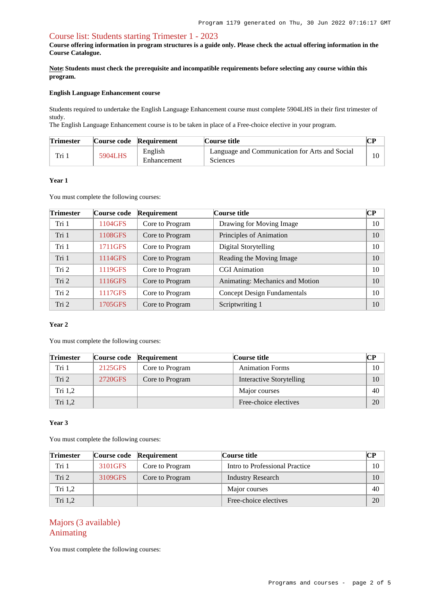## [Course list: Students starting Trimester 1 - 2023](https://www148.griffith.edu.au/programs-courses/Program/1179/Courses/Domestic#course-list-content)

**Course offering information in program structures is a guide only. Please check the actual offering information in the Course Catalogue.**

**Note: Students must check the prerequisite and incompatible requirements before selecting any course within this program.**

#### **English Language Enhancement course**

Students required to undertake the English Language Enhancement course must complete 5904LHS in their first trimester of study.

The English Language Enhancement course is to be taken in place of a Free-choice elective in your program.

| <b>Trimester</b> |         | Course code Requirement | Course title                                                      |  |
|------------------|---------|-------------------------|-------------------------------------------------------------------|--|
| Tri              | 5904LHS | English<br>Enhancement  | Language and Communication for Arts and Social<br><b>Sciences</b> |  |

#### **Year 1**

You must complete the following courses:

| <b>Trimester</b> | Course code | Requirement     | Course title                       | <b>CP</b> |
|------------------|-------------|-----------------|------------------------------------|-----------|
| Tri 1            | 1104GFS     | Core to Program | Drawing for Moving Image           | 10        |
| Tri 1            | 1108GFS     | Core to Program | Principles of Animation            | 10        |
| Tri 1            | 1711GFS     | Core to Program | Digital Storytelling               | 10        |
| Tri 1            | 1114GFS     | Core to Program | Reading the Moving Image           | 10        |
| Tri 2            | 1119GFS     | Core to Program | <b>CGI</b> Animation               | 10        |
| Tri 2            | 1116GFS     | Core to Program | Animating: Mechanics and Motion    | 10        |
| Tri 2            | 1117GFS     | Core to Program | <b>Concept Design Fundamentals</b> | 10        |
| Tri 2            | 1705GFS     | Core to Program | Scriptwriting 1                    | 10        |

## **Year 2**

You must complete the following courses:

| <b>Trimester</b> |         | Course code Requirement | Course title             |         |
|------------------|---------|-------------------------|--------------------------|---------|
| Tri 1            | 2125GFS | Core to Program         | <b>Animation Forms</b>   | $10-10$ |
| Tri 2            | 2720GFS | Core to Program         | Interactive Storytelling | 10      |
| Tri $1,2$        |         |                         | Major courses            | 40      |
| Tri 1,2          |         |                         | Free-choice electives    | 20      |

### **Year 3**

You must complete the following courses:

| <b>Trimester</b> |         | Course code Requirement | Course title                   | CР |
|------------------|---------|-------------------------|--------------------------------|----|
| Tri 1            | 3101GFS | Core to Program         | Intro to Professional Practice | 10 |
| Tri 2            | 3109GFS | Core to Program         | <b>Industry Research</b>       | 10 |
| Tri $1,2$        |         |                         | Major courses                  | 40 |
| Tri $1,2$        |         |                         | Free-choice electives          | 20 |

# Majors (3 available) Animating

You must complete the following courses: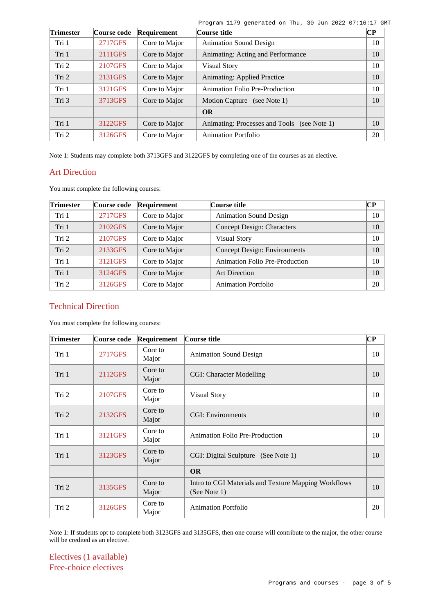| <b>Trimester</b> | Course code | Requirement   | Course title                                | CР |
|------------------|-------------|---------------|---------------------------------------------|----|
| Tri 1            | 2717GFS     | Core to Major | <b>Animation Sound Design</b>               | 10 |
| Tri 1            | 2111GFS     | Core to Major | Animating: Acting and Performance           | 10 |
| Tri 2            | 2107GFS     | Core to Major | <b>Visual Story</b>                         | 10 |
| Tri 2            | 2131GFS     | Core to Major | <b>Animating: Applied Practice</b>          | 10 |
| Tri 1            | 3121GFS     | Core to Major | Animation Folio Pre-Production              | 10 |
| Tri 3            | 3713GFS     | Core to Major | Motion Capture (see Note 1)                 | 10 |
|                  |             |               | <b>OR</b>                                   |    |
| Tri 1            | 3122GFS     | Core to Major | Animating: Processes and Tools (see Note 1) | 10 |
| Tri 2            | 3126GFS     | Core to Major | Animation Portfolio                         | 20 |

Program 1179 generated on Thu, 30 Jun 2022 07:16:17 GMT

Note 1: Students may complete both 3713GFS and 3122GFS by completing one of the courses as an elective.

# Art Direction

You must complete the following courses:

| <b>Trimester</b> | Course code | Requirement   | Course title                          | $\bf CP$ |
|------------------|-------------|---------------|---------------------------------------|----------|
| Tri 1            | 2717GFS     | Core to Major | <b>Animation Sound Design</b>         | 10       |
| Tri 1            | 2102GFS     | Core to Major | <b>Concept Design: Characters</b>     | 10       |
| Tri 2            | 2107GFS     | Core to Major | <b>Visual Story</b>                   | 10       |
| Tri 2            | 2133GFS     | Core to Major | <b>Concept Design: Environments</b>   | 10       |
| Tri 1            | 3121GFS     | Core to Major | <b>Animation Folio Pre-Production</b> | 10       |
| Tri 1            | 3124GFS     | Core to Major | <b>Art Direction</b>                  | 10       |
| Tri 2            | 3126GFS     | Core to Major | <b>Animation Portfolio</b>            | 20       |

# Technical Direction

You must complete the following courses:

| <b>Trimester</b> | Course code | Requirement      | Course title                                                         | $\overline{\mathbf{C}\mathbf{P}}$ |
|------------------|-------------|------------------|----------------------------------------------------------------------|-----------------------------------|
| Tri 1            | 2717GFS     | Core to<br>Major | <b>Animation Sound Design</b>                                        | 10                                |
| Tri 1            | 2112GFS     | Core to<br>Major | CGI: Character Modelling                                             | 10                                |
| Tri 2            | 2107GFS     | Core to<br>Major | <b>Visual Story</b>                                                  | 10                                |
| Tri 2            | 2132GFS     | Core to<br>Major | <b>CGI: Environments</b>                                             | 10                                |
| Tri 1            | 3121GFS     | Core to<br>Major | <b>Animation Folio Pre-Production</b>                                | 10                                |
| Tri 1            | 3123GFS     | Core to<br>Major | CGI: Digital Sculpture (See Note 1)                                  | 10                                |
|                  |             |                  | <b>OR</b>                                                            |                                   |
| Tri 2            | 3135GFS     | Core to<br>Major | Intro to CGI Materials and Texture Mapping Workflows<br>(See Note 1) | 10                                |
| Tri 2            | 3126GFS     | Core to<br>Major | <b>Animation Portfolio</b>                                           | 20                                |

Note 1: If students opt to complete both 3123GFS and 3135GFS, then one course will contribute to the major, the other course will be credited as an elective.

Electives (1 available) Free-choice electives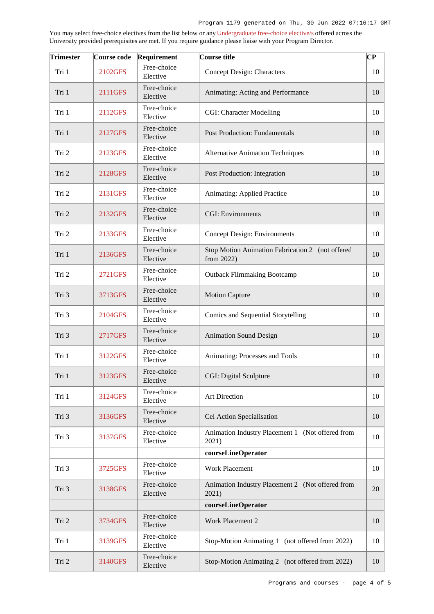You may select free-choice electives from the list below or any [Undergraduate free-choice elective/s](https://www148.griffith.edu.au/programs-courses/Search/Results?SearchRequestType=CourseCatalogue&AcademicCareerName=UGRD&IsFreeChoiceElective=True) offered across the University provided prerequisites are met. If you require guidance please liaise with your Program Director.

| <b>Trimester</b> | Course code | Requirement             | Course title                                                   | CР |
|------------------|-------------|-------------------------|----------------------------------------------------------------|----|
| Tri 1            | 2102GFS     | Free-choice<br>Elective | <b>Concept Design: Characters</b>                              | 10 |
| Tri 1            | 2111GFS     | Free-choice<br>Elective | Animating: Acting and Performance                              | 10 |
| Tri 1            | 2112GFS     | Free-choice<br>Elective | CGI: Character Modelling                                       | 10 |
| Tri 1            | 2127GFS     | Free-choice<br>Elective | <b>Post Production: Fundamentals</b>                           | 10 |
| Tri 2            | 2123GFS     | Free-choice<br>Elective | <b>Alternative Animation Techniques</b>                        | 10 |
| Tri 2            | 2128GFS     | Free-choice<br>Elective | Post Production: Integration                                   | 10 |
| Tri 2            | 2131GFS     | Free-choice<br>Elective | Animating: Applied Practice                                    | 10 |
| Tri 2            | 2132GFS     | Free-choice<br>Elective | <b>CGI:</b> Environments                                       | 10 |
| Tri 2            | 2133GFS     | Free-choice<br>Elective | <b>Concept Design: Environments</b>                            | 10 |
| Tri 1            | 2136GFS     | Free-choice<br>Elective | Stop Motion Animation Fabrication 2 (not offered<br>from 2022) | 10 |
| Tri 2            | 2721GFS     | Free-choice<br>Elective | <b>Outback Filmmaking Bootcamp</b>                             | 10 |
| Tri 3            | 3713GFS     | Free-choice<br>Elective | <b>Motion Capture</b>                                          | 10 |
| Tri 3            | 2104GFS     | Free-choice<br>Elective | Comics and Sequential Storytelling                             | 10 |
| Tri 3            | 2717GFS     | Free-choice<br>Elective | <b>Animation Sound Design</b>                                  | 10 |
| Tri 1            | 3122GFS     | Free-choice<br>Elective | Animating: Processes and Tools                                 | 10 |
| Tri 1            | 3123GFS     | Free-choice<br>Elective | CGI: Digital Sculpture                                         | 10 |
| Tri 1            | 3124GFS     | Free-choice<br>Elective | Art Direction                                                  | 10 |
| Tri 3            | 3136GFS     | Free-choice<br>Elective | Cel Action Specialisation                                      | 10 |
| Tri 3            | 3137GFS     | Free-choice<br>Elective | Animation Industry Placement 1 (Not offered from<br>2021)      | 10 |
|                  |             |                         | courseLineOperator                                             |    |
| Tri 3            | 3725GFS     | Free-choice<br>Elective | <b>Work Placement</b>                                          | 10 |
| Tri 3            | 3138GFS     | Free-choice<br>Elective | Animation Industry Placement 2 (Not offered from<br>2021)      | 20 |
|                  |             |                         | courseLineOperator                                             |    |
| Tri 2            | 3734GFS     | Free-choice<br>Elective | Work Placement 2                                               | 10 |
| Tri 1            | 3139GFS     | Free-choice<br>Elective | Stop-Motion Animating 1 (not offered from 2022)                | 10 |
| Tri 2            | 3140GFS     | Free-choice<br>Elective | Stop-Motion Animating 2 (not offered from 2022)                | 10 |